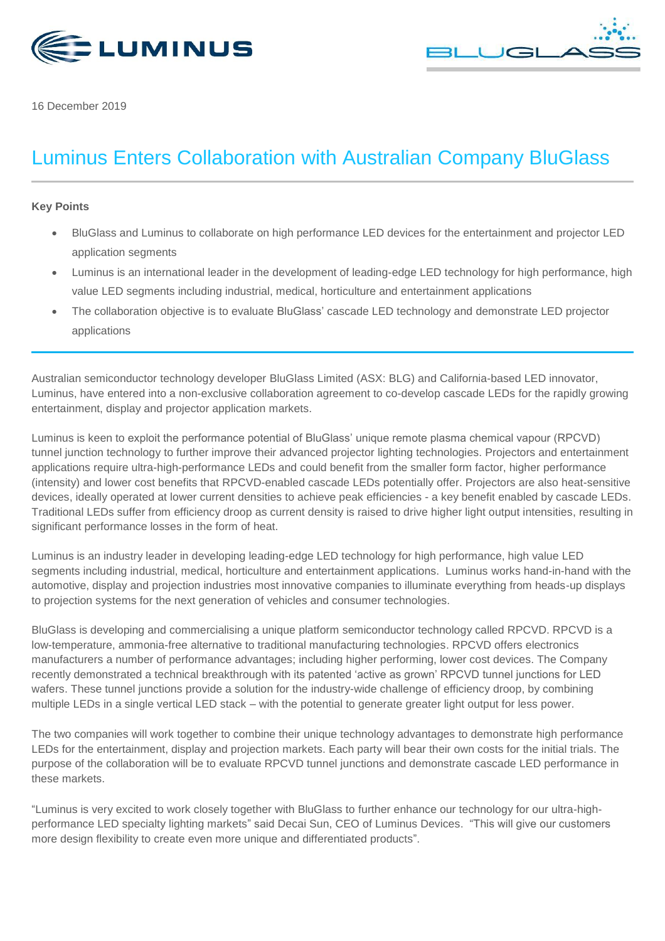



16 December 2019

# Luminus Enters Collaboration with Australian Company BluGlass

## **Key Points**

- BluGlass and Luminus to collaborate on high performance LED devices for the entertainment and projector LED application segments
- Luminus is an international leader in the development of leading-edge LED technology for high performance, high value LED segments including industrial, medical, horticulture and entertainment applications
- The collaboration objective is to evaluate BluGlass' cascade LED technology and demonstrate LED projector applications

Australian semiconductor technology developer [BluGlass Limited](https://www.bluglass.com.au/) (ASX: BLG) and California-based LED innovator, Luminus, have entered into a non-exclusive collaboration agreement to co-develop cascade LEDs for the rapidly growing entertainment, display and projector application markets.

Luminus is keen to exploit the performance potential of BluGlass' unique remote plasma chemical vapour (RPCVD) tunnel junction technology to further improve their advanced projector lighting technologies. Projectors and entertainment applications require ultra-high-performance LEDs and could benefit from the smaller form factor, higher performance (intensity) and lower cost benefits that RPCVD-enabled cascade LEDs potentially offer. Projectors are also heat-sensitive devices, ideally operated at lower current densities to achieve peak efficiencies - a key benefit enabled by cascade LEDs. Traditional LEDs suffer from efficiency droop as current density is raised to drive higher light output intensities, resulting in significant performance losses in the form of heat.

Luminus is an industry leader in developing leading-edge LED technology for high performance, high value LED segments including industrial, medical, horticulture and entertainment applications. Luminus works hand-in-hand with the automotive, display and projection industries most innovative companies to illuminate everything from heads-up displays to projection systems for the next generation of vehicles and consumer technologies.

BluGlass is developing and commercialising a unique platform semiconductor technology called RPCVD. RPCVD is a low-temperature, ammonia-free alternative to traditional manufacturing technologies. RPCVD offers electronics manufacturers a number of performance advantages; including higher performing, lower cost devices. The Company recently demonstrated a technical breakthrough with its patented 'active as grown' RPCVD tunnel junctions for LED wafers. These tunnel junctions provide a solution for the industry-wide challenge of efficiency droop, by combining multiple LEDs in a single vertical LED stack – with the potential to generate greater light output for less power.

The two companies will work together to combine their unique technology advantages to demonstrate high performance LEDs for the entertainment, display and projection markets. Each party will bear their own costs for the initial trials. The purpose of the collaboration will be to evaluate RPCVD tunnel junctions and demonstrate cascade LED performance in these markets.

"Luminus is very excited to work closely together with BluGlass to further enhance our technology for our ultra-highperformance LED specialty lighting markets" said Decai Sun, CEO of Luminus Devices. "This will give our customers more design flexibility to create even more unique and differentiated products".